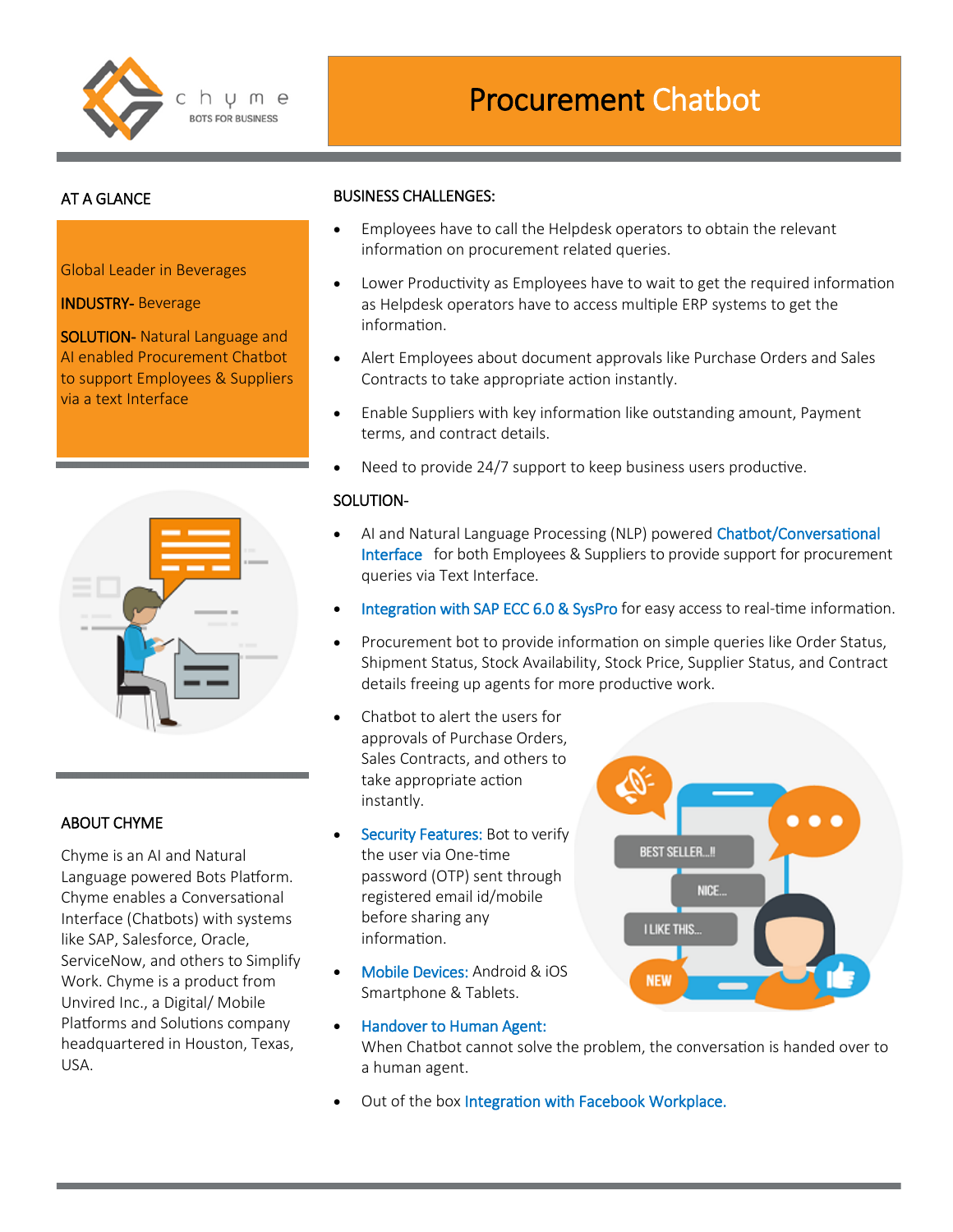

# AT A GLANCE

Global Leader in Beverages

INDUSTRY- Beverage

SOLUTION- Natural Language and AI enabled Procurement Chatbot to support Employees & Suppliers via a text Interface

| -       | <b>Contract Contract</b>           |
|---------|------------------------------------|
|         | $\mathbb{R}$ and<br>$1 - 1$<br>--- |
| -       |                                    |
| $m = 1$ | $\frac{1}{2}$<br>---               |
|         | $n = 1$                            |
|         | ÷                                  |
|         |                                    |
|         |                                    |

# ABOUT CHYME

Chyme is an AI and Natural Language powered Bots Platform. Chyme enables a Conversational Interface (Chatbots) with systems like SAP, Salesforce, Oracle, ServiceNow, and others to Simplify Work. Chyme is a product from Unvired Inc., a Digital/ Mobile Platforms and Solutions company headquartered in Houston, Texas, USA.

#### BUSINESS CHALLENGES:

- Employees have to call the Helpdesk operators to obtain the relevant information on procurement related queries.
- Lower Productivity as Employees have to wait to get the required information as Helpdesk operators have to access multiple ERP systems to get the information.
- Alert Employees about document approvals like Purchase Orders and Sales Contracts to take appropriate action instantly.
- Enable Suppliers with key information like outstanding amount, Payment terms, and contract details.
- Need to provide 24/7 support to keep business users productive.

#### SOLUTION-

- AI and Natural Language Processing (NLP) powered Chatbot/Conversational Interface for both Employees & Suppliers to provide support for procurement queries via Text Interface.
- Integration with SAP ECC 6.0 & SysPro for easy access to real-time information.
- Procurement bot to provide information on simple queries like Order Status, Shipment Status, Stock Availability, Stock Price, Supplier Status, and Contract details freeing up agents for more productive work.
- Chatbot to alert the users for approvals of Purchase Orders, Sales Contracts, and others to take appropriate action instantly.
- Security Features: Bot to verify the user via One-time password (OTP) sent through registered email id/mobile before sharing any information.
- Mobile Devices: Android & iOS Smartphone & Tablets.
	- Handover to Human Agent: When Chatbot cannot solve the problem, the conversation is handed over to a human agent.
- Out of the box Integration with Facebook Workplace.